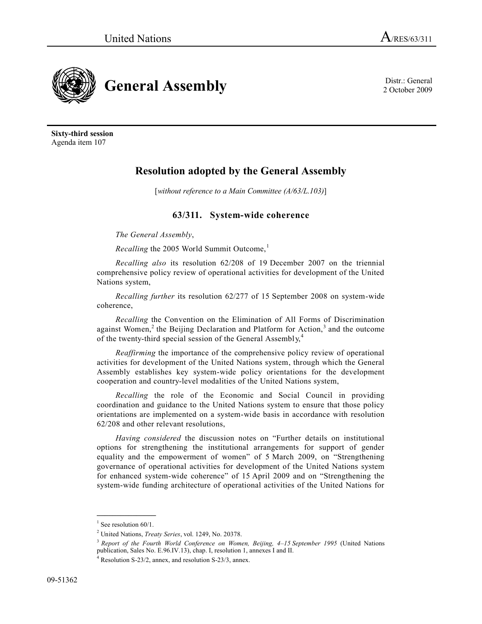

2 October 2009

**Sixty-third session** Agenda item 107

# **Resolution adopted by the General Assembly**

[*without reference to a Main Committee (A/63/L.103)*]

# **63/311. System-wide coherence**

*The General Assembly*,

*Recalling* the 2005 World Summit Outcome,<sup>1</sup>

*Recalling also* its resolution 62/208 of 19 December 2007 on the triennial comprehensive policy review of operational activities for development of the United Nations system,

*Recalling further* its resolution 62/277 of 15 September 2008 on system-wide coherence,

*Recalling* the Convention on the Elimination of All Forms of Discrimination against Women,<sup>2</sup> the Beijing Declaration and Platform for Action,<sup>3</sup> and the outcome of the twenty-third special session of the General Assembly,<sup>4</sup>

*Reaffirming* the importance of the comprehensive policy review of operational activities for development of the United Nations system, through which the General Assembly establishes key system-wide policy orientations for the development cooperation and country-level modalities of the United Nations system,

*Recalling* the role of the Economic and Social Council in providing coordination and guidance to the United Nations system to ensure that those policy orientations are implemented on a system-wide basis in accordance with resolution 62/208 and other relevant resolutions,

*Having considered* the discussion notes on "Further details on institutional options for strengthening the institutional arrangements for support of gender equality and the empowerment of women" of 5 March 2009, on "Strengthening governance of operational activities for development of the United Nations system for enhanced system-wide coherence" of 15 April 2009 and on "Strengthening the system-wide funding architecture of operational activities of the United Nations for

**\_\_\_\_\_\_\_\_\_\_\_\_\_\_\_** <sup>1</sup> See resolution 60/1.

<sup>2</sup> United Nations, *Treaty Series*, vol. 1249, No. 20378.

<sup>3</sup> *Report of the Fourth World Conference on Women, Beijing, 4–15 September 1995* (United Nations publication, Sales No. E.96.IV.13), chap. I, resolution 1, annexes I and II.

<sup>4</sup> Resolution S-23/2, annex, and resolution S-23/3, annex.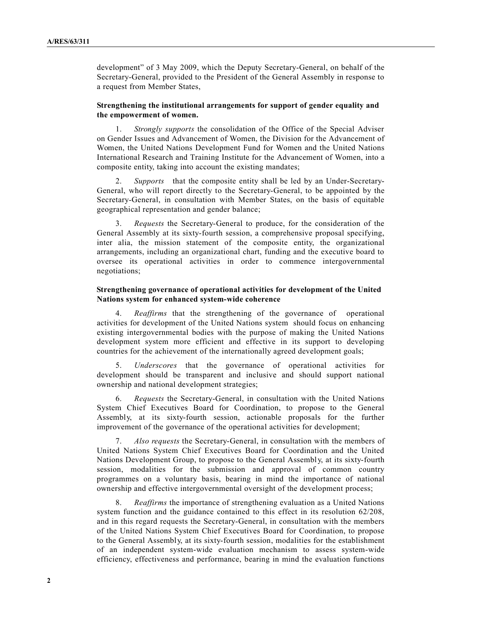development" of 3 May 2009, which the Deputy Secretary-General, on behalf of the Secretary-General, provided to the President of the General Assembly in response to a request from Member States,

#### **Strengthening the institutional arrangements for support of gender equality and the empowerment of women.**

1. *Strongly supports* the consolidation of the Office of the Special Adviser on Gender Issues and Advancement of Women, the Division for the Advancement of Women, the United Nations Development Fund for Women and the United Nations International Research and Training Institute for the Advancement of Women, into a composite entity, taking into account the existing mandates;

2. *Supports* that the composite entity shall be led by an Under-Secretary-General, who will report directly to the Secretary-General, to be appointed by the Secretary-General, in consultation with Member States, on the basis of equitable geographical representation and gender balance;

3. *Requests* the Secretary-General to produce, for the consideration of the General Assembly at its sixty-fourth session, a comprehensive proposal specifying, inter alia, the mission statement of the composite entity, the organizational arrangements, including an organizational chart, funding and the executive board to oversee its operational activities in order to commence intergovernmental negotiations;

## **Strengthening governance of operational activities for development of the United Nations system for enhanced system-wide coherence**

4. *Reaffirms* that the strengthening of the governance of operational activities for development of the United Nations system should focus on enhancing existing intergovernmental bodies with the purpose of making the United Nations development system more efficient and effective in its support to developing countries for the achievement of the internationally agreed development goals;

5. *Underscores* that the governance of operational activities for development should be transparent and inclusive and should support national ownership and national development strategies;

6. *Requests* the Secretary-General, in consultation with the United Nations System Chief Executives Board for Coordination, to propose to the General Assembly, at its sixty-fourth session, actionable proposals for the further improvement of the governance of the operational activities for development;

7. *Also requests* the Secretary-General, in consultation with the members of United Nations System Chief Executives Board for Coordination and the United Nations Development Group, to propose to the General Assembl y, at its sixty-fourth session, modalities for the submission and approval of common country programmes on a voluntary basis, bearing in mind the importance of national ownership and effective intergovernmental oversight of the development process;

8. *Reaffirms* the importance of strengthening evaluation as a United Nations system function and the guidance contained to this effect in its resolution 62/208, and in this regard requests the Secretary-General, in consultation with the members of the United Nations System Chief Executives Board for Coordination, to propose to the General Assembly, at its sixty-fourth session, modalities for the establishment of an independent system-wide evaluation mechanism to assess system-wide efficiency, effectiveness and performance, bearing in mind the evaluation functions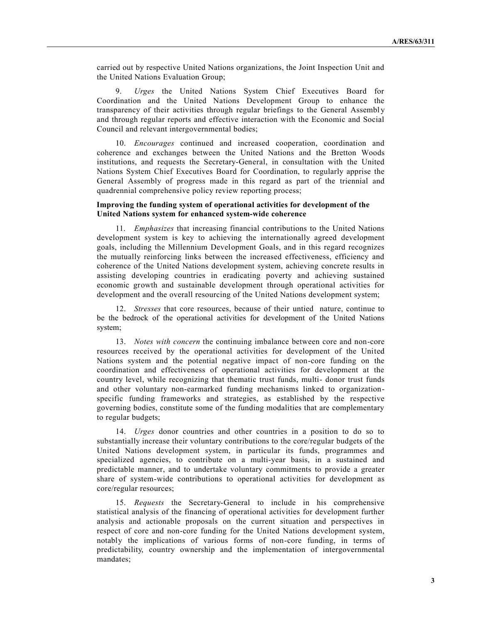carried out by respective United Nations organizations, the Joint Inspection Unit and the United Nations Evaluation Group;

9. *Urges* the United Nations System Chief Executives Board for Coordination and the United Nations Development Group to enhance the transparency of their activities through regular briefings to the General Assembl y and through regular reports and effective interaction with the Economic and Social Council and relevant intergovernmental bodies;

10. *Encourages* continued and increased cooperation, coordination and coherence and exchanges between the United Nations and the Bretton Woods institutions, and requests the Secretary-General, in consultation with the United Nations System Chief Executives Board for Coordination, to regularly apprise the General Assembly of progress made in this regard as part of the triennial and quadrennial comprehensive policy review reporting process;

### **Improving the funding system of operational activities for development of the United Nations system for enhanced system-wide coherence**

11. *Emphasizes* that increasing financial contributions to the United Nations development system is key to achieving the internationally agreed development goals, including the Millennium Development Goals, and in this regard recognizes the mutually reinforcing links between the increased effectiveness, efficiency and coherence of the United Nations development system, achieving concrete results in assisting developing countries in eradicating poverty and achieving sustained economic growth and sustainable development through operational activities for development and the overall resourcing of the United Nations development system;

12. *Stresses* that core resources, because of their untied nature, continue to be the bedrock of the operational activities for development of the United Nations system;

13. *Notes with concern* the continuing imbalance between core and non-core resources received by the operational activities for development of the United Nations system and the potential negative impact of non-core funding on the coordination and effectiveness of operational activities for development at the country level, while recognizing that thematic trust funds, multi- donor trust funds and other voluntary non-earmarked funding mechanisms linked to organizationspecific funding frameworks and strategies, as established by the respective governing bodies, constitute some of the funding modalities that are complementary to regular budgets;

14. *Urges* donor countries and other countries in a position to do so to substantially increase their voluntary contributions to the core/regular budgets of the United Nations development system, in particular its funds, programmes and specialized agencies, to contribute on a multi-year basis, in a sustained and predictable manner, and to undertake voluntary commitments to provide a greater share of system-wide contributions to operational activities for development as core/regular resources;

15. *Requests* the Secretary-General to include in his comprehensive statistical analysis of the financing of operational activities for development further analysis and actionable proposals on the current situation and perspectives in respect of core and non-core funding for the United Nations development system, notably the implications of various forms of non-core funding, in terms of predictability, country ownership and the implementation of intergovernmental mandates;